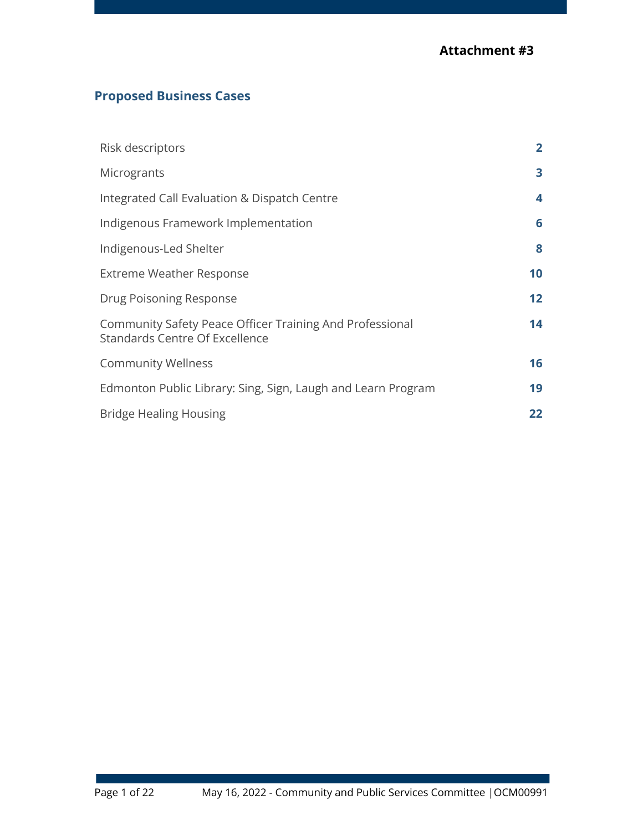# **Proposed Business Cases**

| Risk descriptors                                                                                  | $\mathbf{2}$    |
|---------------------------------------------------------------------------------------------------|-----------------|
| Microgrants                                                                                       | 3               |
| Integrated Call Evaluation & Dispatch Centre                                                      | 4               |
| Indigenous Framework Implementation                                                               | 6               |
| Indigenous-Led Shelter                                                                            | 8               |
| <b>Extreme Weather Response</b>                                                                   | 10              |
| Drug Poisoning Response                                                                           | 12 <sub>2</sub> |
| Community Safety Peace Officer Training And Professional<br><b>Standards Centre Of Excellence</b> | 14              |
| <b>Community Wellness</b>                                                                         | 16              |
| Edmonton Public Library: Sing, Sign, Laugh and Learn Program                                      | 19              |
| <b>Bridge Healing Housing</b>                                                                     | 22              |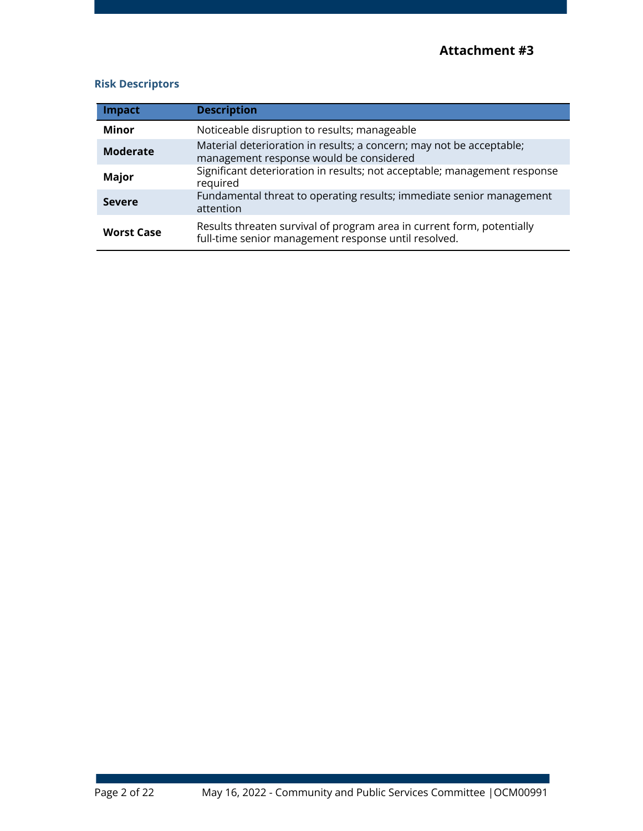## **Risk Descriptors**

| <b>Impact</b>     | <b>Description</b>                                                                                                             |
|-------------------|--------------------------------------------------------------------------------------------------------------------------------|
| <b>Minor</b>      | Noticeable disruption to results; manageable                                                                                   |
| <b>Moderate</b>   | Material deterioration in results; a concern; may not be acceptable;<br>management response would be considered                |
| <b>Major</b>      | Significant deterioration in results; not acceptable; management response<br>required                                          |
| <b>Severe</b>     | Fundamental threat to operating results; immediate senior management<br>attention                                              |
| <b>Worst Case</b> | Results threaten survival of program area in current form, potentially<br>full-time senior management response until resolved. |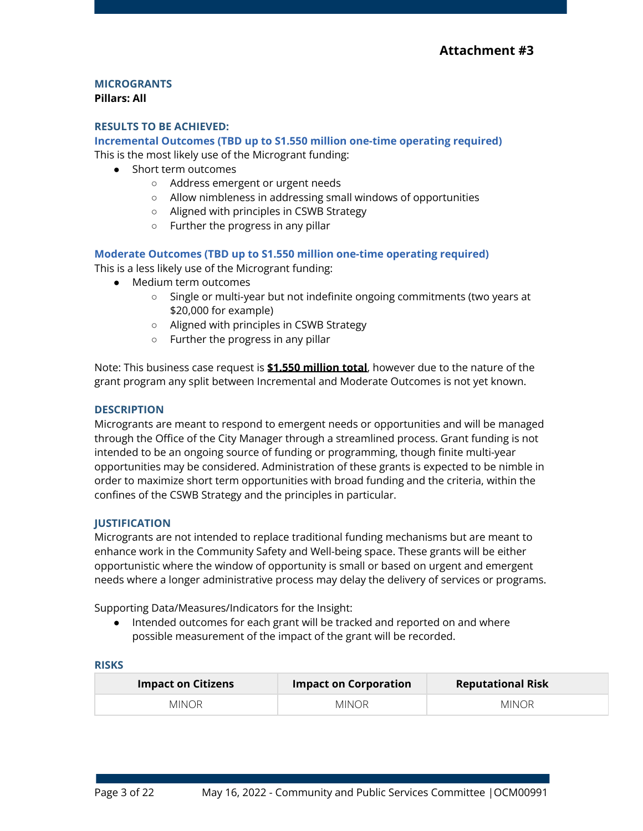# **MICROGRANTS**

## **Pillars: All**

## **RESULTS TO BE ACHIEVED:**

## **Incremental Outcomes (TBD up to S1.550 million one-time operating required)**

This is the most likely use of the Microgrant funding:

- Short term outcomes
	- Address emergent or urgent needs
	- Allow nimbleness in addressing small windows of opportunities
	- Aligned with principles in CSWB Strategy
	- Further the progress in any pillar

## **Moderate Outcomes (TBD up to S1.550 million one-time operating required)**

This is a less likely use of the Microgrant funding:

- Medium term outcomes
	- Single or multi-year but not indefinite ongoing commitments (two years at \$20,000 for example)
	- Aligned with principles in CSWB Strategy
	- Further the progress in any pillar

Note: This business case request is **\$1.550 million total**, however due to the nature of the grant program any split between Incremental and Moderate Outcomes is not yet known.

#### **DESCRIPTION**

Microgrants are meant to respond to emergent needs or opportunities and will be managed through the Office of the City Manager through a streamlined process. Grant funding is not intended to be an ongoing source of funding or programming, though finite multi-year opportunities may be considered. Administration of these grants is expected to be nimble in order to maximize short term opportunities with broad funding and the criteria, within the confines of the CSWB Strategy and the principles in particular.

## **JUSTIFICATION**

Microgrants are not intended to replace traditional funding mechanisms but are meant to enhance work in the Community Safety and Well-being space. These grants will be either opportunistic where the window of opportunity is small or based on urgent and emergent needs where a longer administrative process may delay the delivery of services or programs.

Supporting Data/Measures/Indicators for the Insight:

● Intended outcomes for each grant will be tracked and reported on and where possible measurement of the impact of the grant will be recorded.

| <b>Impact on Citizens</b> | <b>Impact on Corporation</b> | <b>Reputational Risk</b> |
|---------------------------|------------------------------|--------------------------|
| <b>MINOR</b>              | <b>MINOR</b>                 | <b>MINOR</b>             |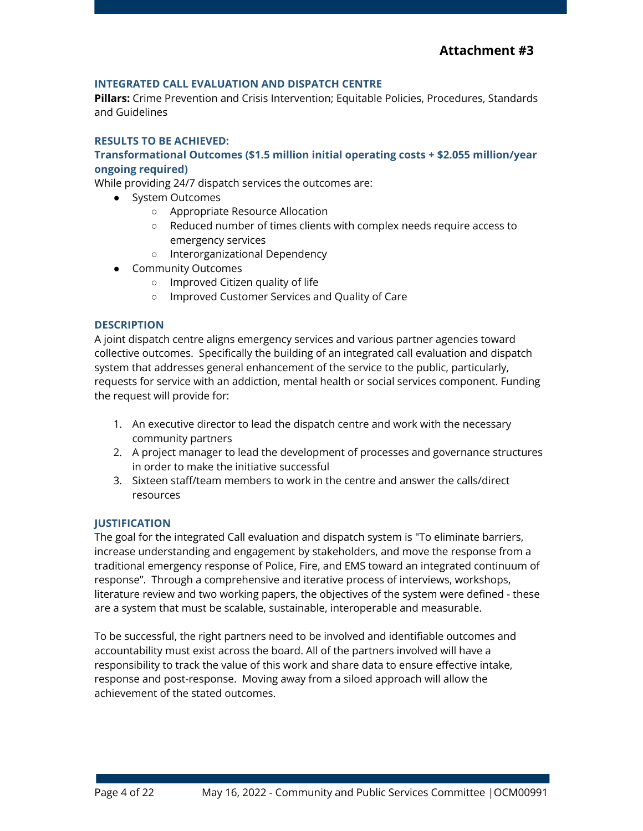## **INTEGRATED CALL EVALUATION AND DISPATCH CENTRE**

**Pillars:** Crime Prevention and Crisis Intervention; Equitable Policies, Procedures, Standards and Guidelines

#### **RESULTS TO BE ACHIEVED:**

## **Transformational Outcomes (\$1.5 million initial operating costs + \$2.055 million/year ongoing required)**

While providing 24/7 dispatch services the outcomes are:

- System Outcomes
	- Appropriate Resource Allocation
	- Reduced number of times clients with complex needs require access to emergency services
	- Interorganizational Dependency
- Community Outcomes
	- Improved Citizen quality of life
	- Improved Customer Services and Quality of Care

#### **DESCRIPTION**

A joint dispatch centre aligns emergency services and various partner agencies toward collective outcomes. Specifically the building of an integrated call evaluation and dispatch system that addresses general enhancement of the service to the public, particularly, requests for service with an addiction, mental health or social services component. Funding the request will provide for:

- 1. An executive director to lead the dispatch centre and work with the necessary community partners
- 2. A project manager to lead the development of processes and governance structures in order to make the initiative successful
- 3. Sixteen staff/team members to work in the centre and answer the calls/direct resources

#### **JUSTIFICATION**

The goal for the integrated Call evaluation and dispatch system is "To eliminate barriers, increase understanding and engagement by stakeholders, and move the response from a traditional emergency response of Police, Fire, and EMS toward an integrated continuum of response". Through a comprehensive and iterative process of interviews, workshops, literature review and two working papers, the objectives of the system were defined - these are a system that must be scalable, sustainable, interoperable and measurable.

To be successful, the right partners need to be involved and identifiable outcomes and accountability must exist across the board. All of the partners involved will have a responsibility to track the value of this work and share data to ensure effective intake, response and post-response. Moving away from a siloed approach will allow the achievement of the stated outcomes.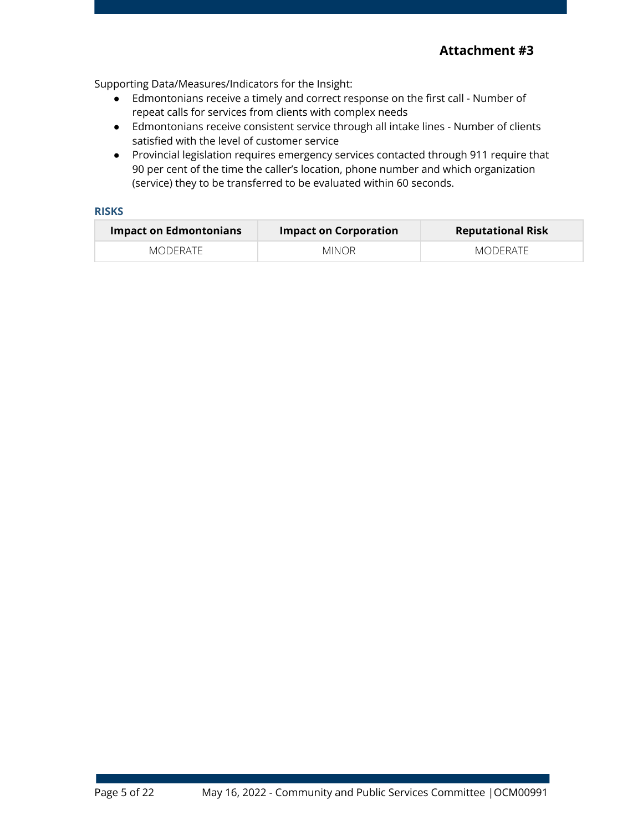Supporting Data/Measures/Indicators for the Insight:

- Edmontonians receive a timely and correct response on the first call Number of repeat calls for services from clients with complex needs
- Edmontonians receive consistent service through all intake lines Number of clients satisfied with the level of customer service
- Provincial legislation requires emergency services contacted through 911 require that 90 per cent of the time the caller's location, phone number and which organization (service) they to be transferred to be evaluated within 60 seconds.

| <b>Impact on Edmontonians</b> | Impact on Corporation | <b>Reputational Risk</b> |
|-------------------------------|-----------------------|--------------------------|
| MODERATE                      | <b>MINOR</b>          | MODERATE                 |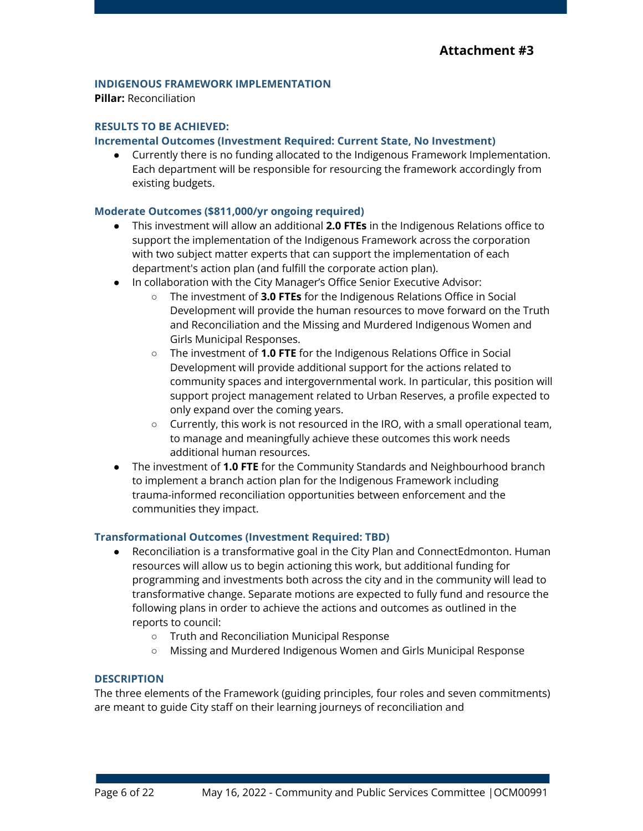## **INDIGENOUS FRAMEWORK IMPLEMENTATION**

**Pillar:** Reconciliation

## **RESULTS TO BE ACHIEVED:**

#### **Incremental Outcomes (Investment Required: Current State, No Investment)**

● Currently there is no funding allocated to the Indigenous Framework Implementation. Each department will be responsible for resourcing the framework accordingly from existing budgets.

#### **Moderate Outcomes (\$811,000/yr ongoing required)**

- This investment will allow an additional **2.0 FTEs** in the Indigenous Relations office to support the implementation of the Indigenous Framework across the corporation with two subject matter experts that can support the implementation of each department's action plan (and fulfill the corporate action plan).
- In collaboration with the City Manager's Office Senior Executive Advisor:
	- The investment of **3.0 FTEs** for the Indigenous Relations Office in Social Development will provide the human resources to move forward on the Truth and Reconciliation and the Missing and Murdered Indigenous Women and Girls Municipal Responses.
	- The investment of **1.0 FTE** for the Indigenous Relations Office in Social Development will provide additional support for the actions related to community spaces and intergovernmental work. In particular, this position will support project management related to Urban Reserves, a profile expected to only expand over the coming years.
	- $\circ$  Currently, this work is not resourced in the IRO, with a small operational team, to manage and meaningfully achieve these outcomes this work needs additional human resources.
- The investment of **1.0 FTE** for the Community Standards and Neighbourhood branch to implement a branch action plan for the Indigenous Framework including trauma-informed reconciliation opportunities between enforcement and the communities they impact.

#### **Transformational Outcomes (Investment Required: TBD)**

- Reconciliation is a transformative goal in the City Plan and ConnectEdmonton. Human resources will allow us to begin actioning this work, but additional funding for programming and investments both across the city and in the community will lead to transformative change. Separate motions are expected to fully fund and resource the following plans in order to achieve the actions and outcomes as outlined in the reports to council:
	- Truth and Reconciliation Municipal Response
	- Missing and Murdered Indigenous Women and Girls Municipal Response

#### **DESCRIPTION**

The three elements of the Framework (guiding principles, four roles and seven commitments) are meant to guide City staff on their learning journeys of reconciliation and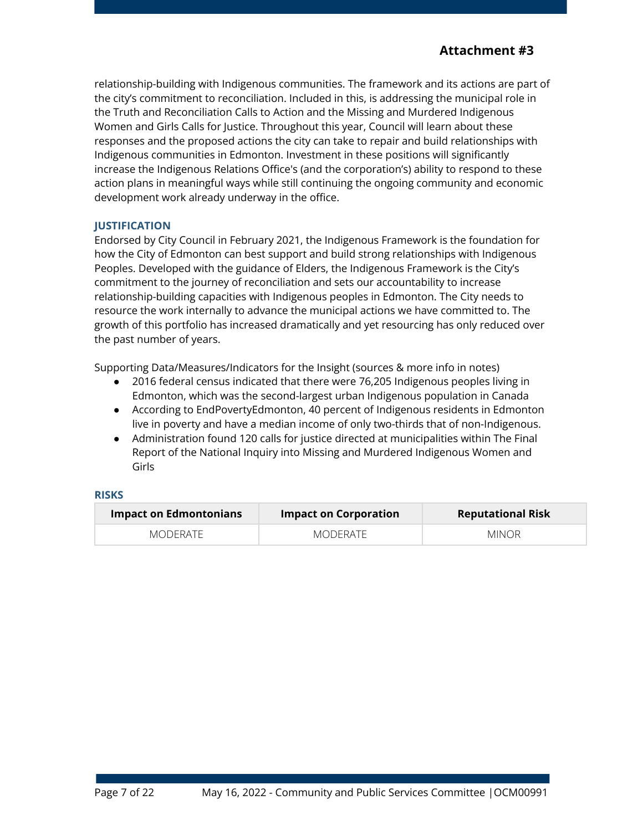relationship-building with Indigenous communities. The framework and its actions are part of the city's commitment to reconciliation. Included in this, is addressing the municipal role in the Truth and Reconciliation Calls to Action and the Missing and Murdered Indigenous Women and Girls Calls for Justice. Throughout this year, Council will learn about these responses and the proposed actions the city can take to repair and build relationships with Indigenous communities in Edmonton. Investment in these positions will significantly increase the Indigenous Relations Office's (and the corporation's) ability to respond to these action plans in meaningful ways while still continuing the ongoing community and economic development work already underway in the office.

## **JUSTIFICATION**

Endorsed by City Council in February 2021, the Indigenous Framework is the foundation for how the City of Edmonton can best support and build strong relationships with Indigenous Peoples. Developed with the guidance of Elders, the Indigenous Framework is the City's commitment to the journey of reconciliation and sets our accountability to increase relationship-building capacities with Indigenous peoples in Edmonton. The City needs to resource the work internally to advance the municipal actions we have committed to. The growth of this portfolio has increased dramatically and yet resourcing has only reduced over the past number of years.

Supporting Data/Measures/Indicators for the Insight (sources & more info in notes)

- 2016 federal census indicated that there were 76,205 Indigenous peoples living in Edmonton, which was the second-largest urban Indigenous population in Canada
- According to EndPovertyEdmonton, 40 percent of Indigenous residents in Edmonton live in poverty and have a median income of only two-thirds that of non-Indigenous.
- Administration found 120 calls for justice directed at municipalities within The Final Report of the National Inquiry into Missing and Murdered Indigenous Women and Girls

| <b>Impact on Edmontonians</b> | <b>Impact on Corporation</b> | <b>Reputational Risk</b> |
|-------------------------------|------------------------------|--------------------------|
| MODERATE                      | MODERATE                     | <b>MINOR</b>             |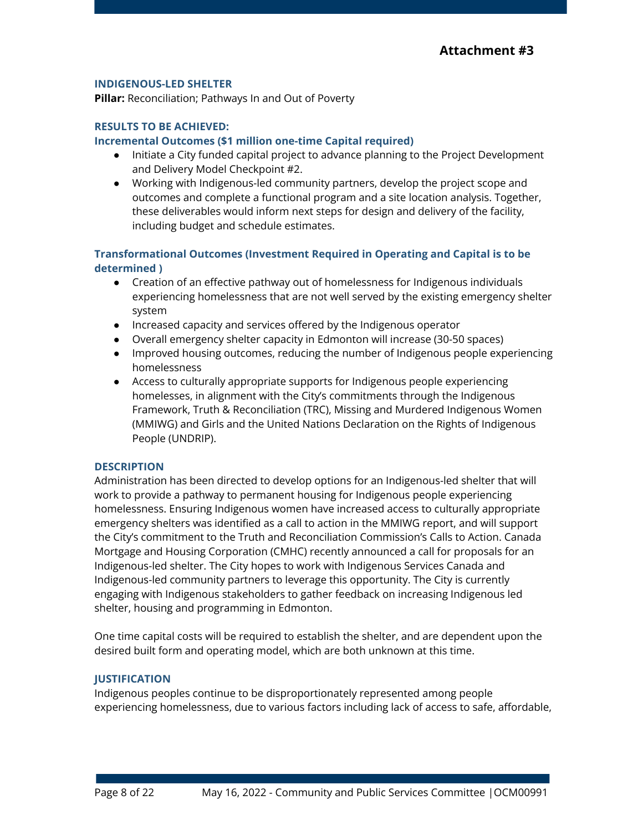## **INDIGENOUS-LED SHELTER**

**Pillar:** Reconciliation; Pathways In and Out of Poverty

## **RESULTS TO BE ACHIEVED:**

## **Incremental Outcomes (\$1 million one-time Capital required)**

- Initiate a City funded capital project to advance planning to the Project Development and Delivery Model Checkpoint #2.
- Working with Indigenous-led community partners, develop the project scope and outcomes and complete a functional program and a site location analysis. Together, these deliverables would inform next steps for design and delivery of the facility, including budget and schedule estimates.

## **Transformational Outcomes (Investment Required in Operating and Capital is to be determined )**

- Creation of an effective pathway out of homelessness for Indigenous individuals experiencing homelessness that are not well served by the existing emergency shelter system
- Increased capacity and services offered by the Indigenous operator
- Overall emergency shelter capacity in Edmonton will increase (30-50 spaces)
- Improved housing outcomes, reducing the number of Indigenous people experiencing homelessness
- Access to culturally appropriate supports for Indigenous people experiencing homelesses, in alignment with the City's commitments through the Indigenous Framework, Truth & Reconciliation (TRC), Missing and Murdered Indigenous Women (MMIWG) and Girls and the United Nations Declaration on the Rights of Indigenous People (UNDRIP).

## **DESCRIPTION**

Administration has been directed to develop options for an Indigenous-led shelter that will work to provide a pathway to permanent housing for Indigenous people experiencing homelessness. Ensuring Indigenous women have increased access to culturally appropriate emergency shelters was identified as a call to action in the MMIWG report, and will support the City's commitment to the Truth and Reconciliation Commission's Calls to Action. Canada Mortgage and Housing Corporation (CMHC) recently announced a call for proposals for an Indigenous-led shelter. The City hopes to work with Indigenous Services Canada and Indigenous-led community partners to leverage this opportunity. The City is currently engaging with Indigenous stakeholders to gather feedback on increasing Indigenous led shelter, housing and programming in Edmonton.

One time capital costs will be required to establish the shelter, and are dependent upon the desired built form and operating model, which are both unknown at this time.

## **JUSTIFICATION**

Indigenous peoples continue to be disproportionately represented among people experiencing homelessness, due to various factors including lack of access to safe, affordable,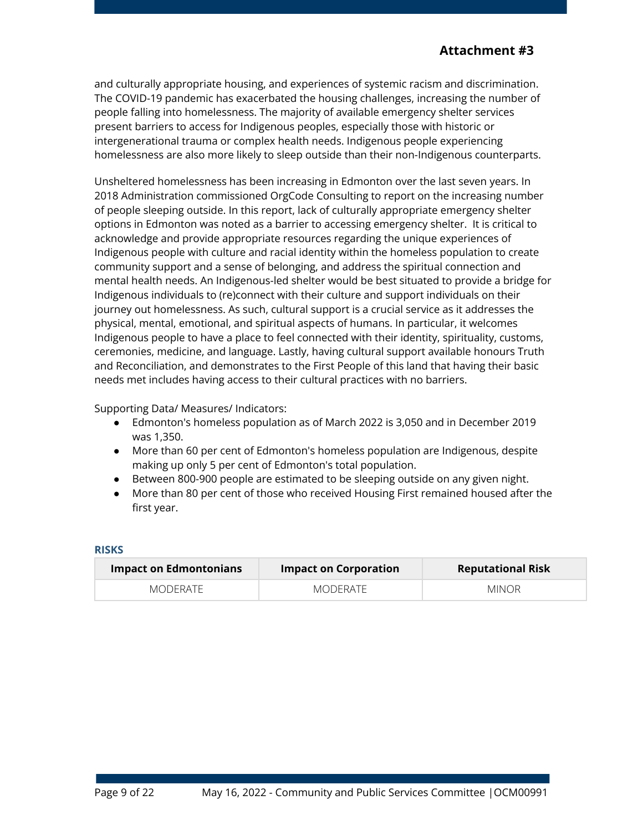and culturally appropriate housing, and experiences of systemic racism and discrimination. The COVID-19 pandemic has exacerbated the housing challenges, increasing the number of people falling into homelessness. The majority of available emergency shelter services present barriers to access for Indigenous peoples, especially those with historic or intergenerational trauma or complex health needs. Indigenous people experiencing homelessness are also more likely to sleep outside than their non-Indigenous counterparts.

Unsheltered homelessness has been increasing in Edmonton over the last seven years. In 2018 Administration commissioned OrgCode Consulting to report on the increasing number of people sleeping outside. In this report, lack of culturally appropriate emergency shelter options in Edmonton was noted as a barrier to accessing emergency shelter. It is critical to acknowledge and provide appropriate resources regarding the unique experiences of Indigenous people with culture and racial identity within the homeless population to create community support and a sense of belonging, and address the spiritual connection and mental health needs. An Indigenous-led shelter would be best situated to provide a bridge for Indigenous individuals to (re)connect with their culture and support individuals on their journey out homelessness. As such, cultural support is a crucial service as it addresses the physical, mental, emotional, and spiritual aspects of humans. In particular, it welcomes Indigenous people to have a place to feel connected with their identity, spirituality, customs, ceremonies, medicine, and language. Lastly, having cultural support available honours Truth and Reconciliation, and demonstrates to the First People of this land that having their basic needs met includes having access to their cultural practices with no barriers.

Supporting Data/ Measures/ Indicators:

- Edmonton's homeless population as of March 2022 is 3,050 and in December 2019 was 1,350.
- More than 60 per cent of Edmonton's homeless population are Indigenous, despite making up only 5 per cent of Edmonton's total population.
- Between 800-900 people are estimated to be sleeping outside on any given night.
- More than 80 per cent of those who received Housing First remained housed after the first year.

| Impact on Edmontonians | <b>Impact on Corporation</b> | <b>Reputational Risk</b> |
|------------------------|------------------------------|--------------------------|
| MODERATE               | MODERATE                     | MINOR                    |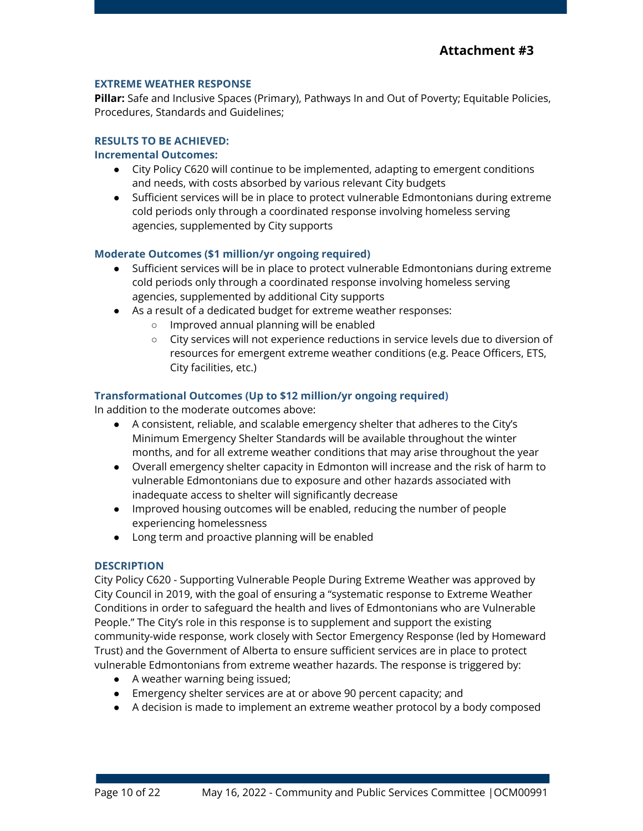#### **EXTREME WEATHER RESPONSE**

**Pillar:** Safe and Inclusive Spaces (Primary), Pathways In and Out of Poverty; Equitable Policies, Procedures, Standards and Guidelines;

## **RESULTS TO BE ACHIEVED:**

#### **Incremental Outcomes:**

- City Policy C620 will continue to be implemented, adapting to emergent conditions and needs, with costs absorbed by various relevant City budgets
- Sufficient services will be in place to protect vulnerable Edmontonians during extreme cold periods only through a coordinated response involving homeless serving agencies, supplemented by City supports

#### **Moderate Outcomes (\$1 million/yr ongoing required)**

- Sufficient services will be in place to protect vulnerable Edmontonians during extreme cold periods only through a coordinated response involving homeless serving agencies, supplemented by additional City supports
- As a result of a dedicated budget for extreme weather responses:
	- Improved annual planning will be enabled
	- City services will not experience reductions in service levels due to diversion of resources for emergent extreme weather conditions (e.g. Peace Officers, ETS, City facilities, etc.)

#### **Transformational Outcomes (Up to \$12 million/yr ongoing required)**

In addition to the moderate outcomes above:

- A consistent, reliable, and scalable emergency shelter that adheres to the City's Minimum Emergency Shelter Standards will be available throughout the winter months, and for all extreme weather conditions that may arise throughout the year
- Overall emergency shelter capacity in Edmonton will increase and the risk of harm to vulnerable Edmontonians due to exposure and other hazards associated with inadequate access to shelter will significantly decrease
- Improved housing outcomes will be enabled, reducing the number of people experiencing homelessness
- Long term and proactive planning will be enabled

#### **DESCRIPTION**

City Policy C620 - Supporting Vulnerable People During Extreme Weather was approved by City Council in 2019, with the goal of ensuring a "systematic response to Extreme Weather Conditions in order to safeguard the health and lives of Edmontonians who are Vulnerable People." The City's role in this response is to supplement and support the existing community-wide response, work closely with Sector Emergency Response (led by Homeward Trust) and the Government of Alberta to ensure sufficient services are in place to protect vulnerable Edmontonians from extreme weather hazards. The response is triggered by:

- A weather warning being issued;
- Emergency shelter services are at or above 90 percent capacity; and
- A decision is made to implement an extreme weather protocol by a body composed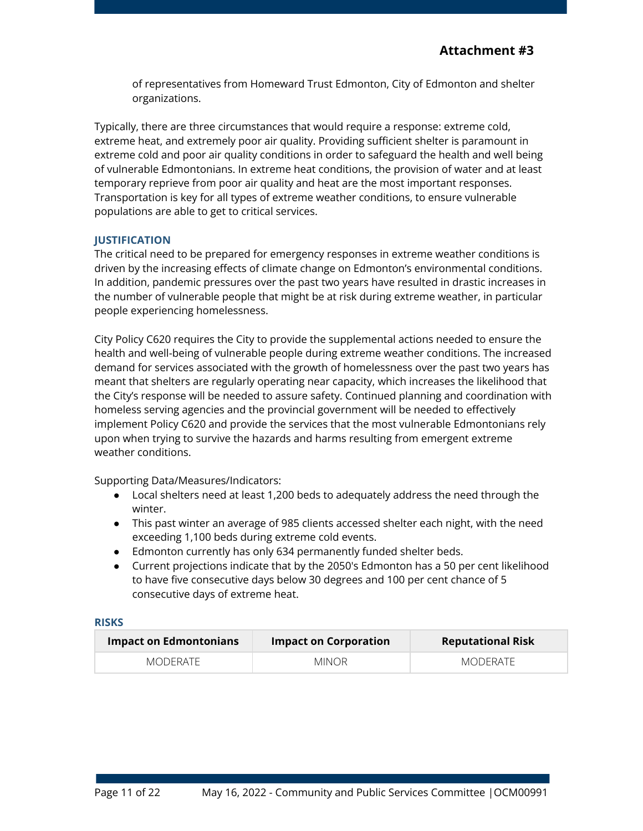of representatives from Homeward Trust Edmonton, City of Edmonton and shelter organizations.

Typically, there are three circumstances that would require a response: extreme cold, extreme heat, and extremely poor air quality. Providing sufficient shelter is paramount in extreme cold and poor air quality conditions in order to safeguard the health and well being of vulnerable Edmontonians. In extreme heat conditions, the provision of water and at least temporary reprieve from poor air quality and heat are the most important responses. Transportation is key for all types of extreme weather conditions, to ensure vulnerable populations are able to get to critical services.

## **JUSTIFICATION**

The critical need to be prepared for emergency responses in extreme weather conditions is driven by the increasing effects of climate change on Edmonton's environmental conditions. In addition, pandemic pressures over the past two years have resulted in drastic increases in the number of vulnerable people that might be at risk during extreme weather, in particular people experiencing homelessness.

City Policy C620 requires the City to provide the supplemental actions needed to ensure the health and well-being of vulnerable people during extreme weather conditions. The increased demand for services associated with the growth of homelessness over the past two years has meant that shelters are regularly operating near capacity, which increases the likelihood that the City's response will be needed to assure safety. Continued planning and coordination with homeless serving agencies and the provincial government will be needed to effectively implement Policy C620 and provide the services that the most vulnerable Edmontonians rely upon when trying to survive the hazards and harms resulting from emergent extreme weather conditions.

Supporting Data/Measures/Indicators:

- Local shelters need at least 1,200 beds to adequately address the need through the winter.
- This past winter an average of 985 clients accessed shelter each night, with the need exceeding 1,100 beds during extreme cold events.
- Edmonton currently has only 634 permanently funded shelter beds.
- Current projections indicate that by the 2050's Edmonton has a 50 per cent likelihood to have five consecutive days below 30 degrees and 100 per cent chance of 5 consecutive days of extreme heat.

| <b>Impact on Edmontonians</b> | <b>Impact on Corporation</b> | <b>Reputational Risk</b> |
|-------------------------------|------------------------------|--------------------------|
| MODERATE                      | <b>MINOR</b>                 | MODERATE                 |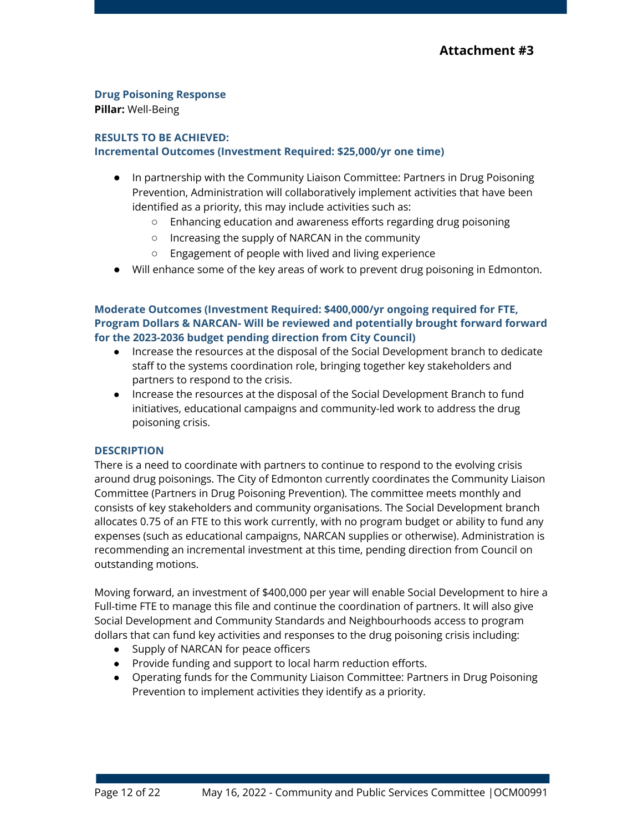# **Drug Poisoning Response**

**Pillar:** Well-Being

## <span id="page-11-0"></span>**RESULTS TO BE ACHIEVED: Incremental Outcomes (Investment Required: \$25,000/yr one time)**

- In partnership with the Community Liaison Committee: Partners in Drug Poisoning Prevention, Administration will collaboratively implement activities that have been identified as a priority, this may include activities such as:
	- Enhancing education and awareness efforts regarding drug poisoning
	- Increasing the supply of NARCAN in the community
	- Engagement of people with lived and living experience
- Will enhance some of the key areas of work to prevent drug poisoning in Edmonton.

## **Moderate Outcomes (Investment Required: \$400,000/yr ongoing required for FTE, Program Dollars & NARCAN- Will be reviewed and potentially brought forward forward for the 2023-2036 budget pending direction from City Council)**

- Increase the resources at the disposal of the Social Development branch to dedicate staff to the systems coordination role, bringing together key stakeholders and partners to respond to the crisis.
- Increase the resources at the disposal of the Social Development Branch to fund initiatives, educational campaigns and community-led work to address the drug poisoning crisis.

## **DESCRIPTION**

There is a need to coordinate with partners to continue to respond to the evolving crisis around drug poisonings. The City of Edmonton currently coordinates the Community Liaison Committee (Partners in Drug Poisoning Prevention). The committee meets monthly and consists of key stakeholders and community organisations. The Social Development branch allocates 0.75 of an FTE to this work currently, with no program budget or ability to fund any expenses (such as educational campaigns, NARCAN supplies or otherwise). Administration is recommending an incremental investment at this time, pending direction from Council on outstanding motions.

Moving forward, an investment of \$400,000 per year will enable Social Development to hire a Full-time FTE to manage this file and continue the coordination of partners. It will also give Social Development and Community Standards and Neighbourhoods access to program dollars that can fund key activities and responses to the drug poisoning crisis including:

- Supply of NARCAN for peace officers
- Provide funding and support to local harm reduction efforts.
- Operating funds for the Community Liaison Committee: Partners in Drug Poisoning Prevention to implement activities they identify as a priority.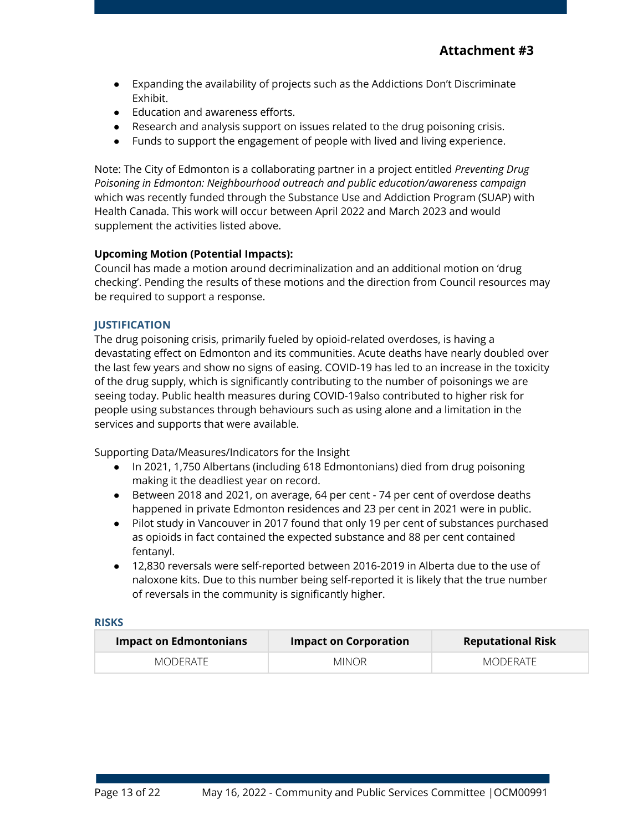- Expanding the availability of projects such as the Addictions Don't Discriminate Exhibit.
- Education and awareness efforts.
- Research and analysis support on issues related to the drug poisoning crisis.
- Funds to support the engagement of people with lived and living experience.

Note: The City of Edmonton is a collaborating partner in a project entitled *Preventing Drug Poisoning in Edmonton: Neighbourhood outreach and public education/awareness campaign* which was recently funded through the Substance Use and Addiction Program (SUAP) with Health Canada. This work will occur between April 2022 and March 2023 and would supplement the activities listed above.

## **Upcoming Motion (Potential Impacts):**

Council has made a motion around decriminalization and an additional motion on 'drug checking'. Pending the results of these motions and the direction from Council resources may be required to support a response.

## **JUSTIFICATION**

The drug poisoning crisis, primarily fueled by opioid-related overdoses, is having a devastating effect on Edmonton and its communities. Acute deaths have nearly doubled over the last few years and show no signs of easing. COVID-19 has led to an increase in the toxicity of the drug supply, which is significantly contributing to the number of poisonings we are seeing today. Public health measures during COVID-19also contributed to higher risk for people using substances through behaviours such as using alone and a limitation in the services and supports that were available.

Supporting Data/Measures/Indicators for the Insight

- In 2021, 1,750 Albertans (including 618 Edmontonians) died from drug poisoning making it the deadliest year on record.
- Between 2018 and 2021, on average, 64 per cent 74 per cent of overdose deaths happened in private Edmonton residences and 23 per cent in 2021 were in public.
- Pilot study in Vancouver in 2017 found that only 19 per cent of substances purchased as opioids in fact contained the expected substance and 88 per cent contained fentanyl.
- 12,830 reversals were self-reported between 2016-2019 in Alberta due to the use of naloxone kits. Due to this number being self-reported it is likely that the true number of reversals in the community is significantly higher.

| $\blacksquare$ Impact on Edmontonians $\blacksquare$ | <b>Impact on Corporation</b> | <b>Reputational Risk</b> |
|------------------------------------------------------|------------------------------|--------------------------|
| MODERATE                                             | <b>MINOR</b>                 | MODERATE                 |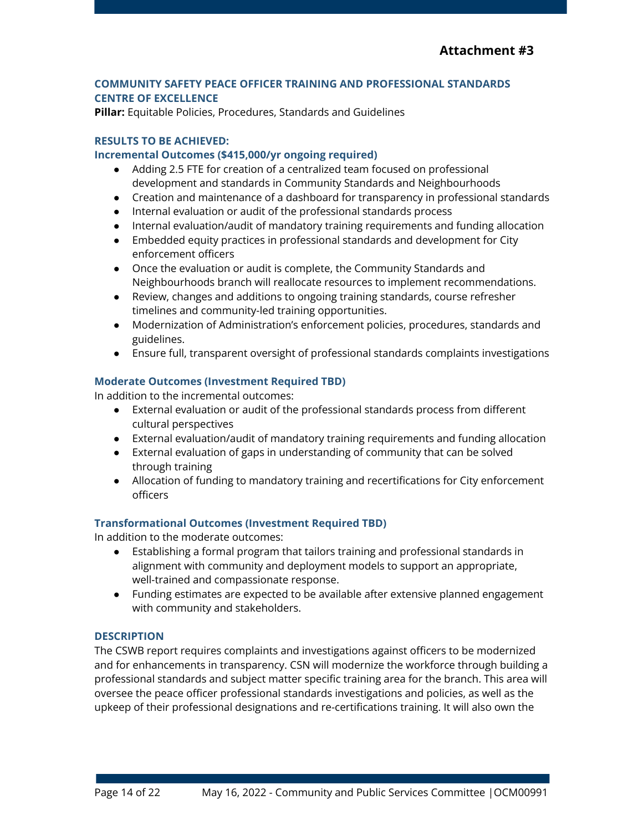## **COMMUNITY SAFETY PEACE OFFICER TRAINING AND PROFESSIONAL STANDARDS CENTRE OF EXCELLENCE**

**Pillar:** Equitable Policies, Procedures, Standards and Guidelines

## **RESULTS TO BE ACHIEVED:**

## **Incremental Outcomes (\$415,000/yr ongoing required)**

- Adding 2.5 FTE for creation of a centralized team focused on professional development and standards in Community Standards and Neighbourhoods
- Creation and maintenance of a dashboard for transparency in professional standards
- Internal evaluation or audit of the professional standards process
- Internal evaluation/audit of mandatory training requirements and funding allocation
- Embedded equity practices in professional standards and development for City enforcement officers
- Once the evaluation or audit is complete, the Community Standards and Neighbourhoods branch will reallocate resources to implement recommendations.
- Review, changes and additions to ongoing training standards, course refresher timelines and community-led training opportunities.
- Modernization of Administration's enforcement policies, procedures, standards and guidelines.
- Ensure full, transparent oversight of professional standards complaints investigations

## **Moderate Outcomes (Investment Required TBD)**

In addition to the incremental outcomes:

- External evaluation or audit of the professional standards process from different cultural perspectives
- External evaluation/audit of mandatory training requirements and funding allocation
- External evaluation of gaps in understanding of community that can be solved through training
- Allocation of funding to mandatory training and recertifications for City enforcement officers

## **Transformational Outcomes (Investment Required TBD)**

In addition to the moderate outcomes:

- Establishing a formal program that tailors training and professional standards in alignment with community and deployment models to support an appropriate, well-trained and compassionate response.
- Funding estimates are expected to be available after extensive planned engagement with community and stakeholders.

## **DESCRIPTION**

The CSWB report requires complaints and investigations against officers to be modernized and for enhancements in transparency. CSN will modernize the workforce through building a professional standards and subject matter specific training area for the branch. This area will oversee the peace officer professional standards investigations and policies, as well as the upkeep of their professional designations and re-certifications training. It will also own the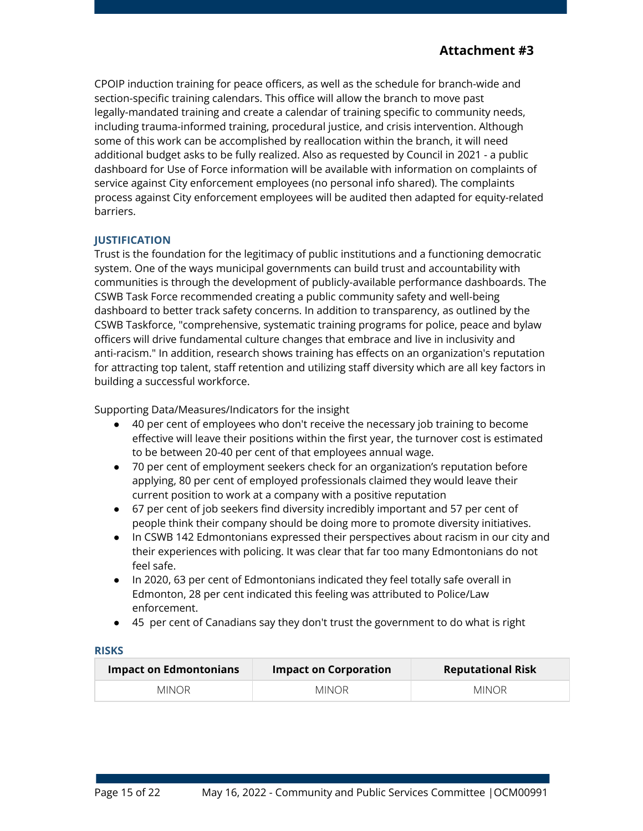CPOIP induction training for peace officers, as well as the schedule for branch-wide and section-specific training calendars. This office will allow the branch to move past legally-mandated training and create a calendar of training specific to community needs, including trauma-informed training, procedural justice, and crisis intervention. Although some of this work can be accomplished by reallocation within the branch, it will need additional budget asks to be fully realized. Also as requested by Council in 2021 - a public dashboard for Use of Force information will be available with information on complaints of service against City enforcement employees (no personal info shared). The complaints process against City enforcement employees will be audited then adapted for equity-related barriers.

## **JUSTIFICATION**

Trust is the foundation for the legitimacy of public institutions and a functioning democratic system. One of the ways municipal governments can build trust and accountability with communities is through the development of publicly-available performance dashboards. The CSWB Task Force recommended creating a public community safety and well-being dashboard to better track safety concerns. In addition to transparency, as outlined by the CSWB Taskforce, "comprehensive, systematic training programs for police, peace and bylaw officers will drive fundamental culture changes that embrace and live in inclusivity and anti-racism." In addition, research shows training has effects on an organization's reputation for attracting top talent, staff retention and utilizing staff diversity which are all key factors in building a successful workforce.

Supporting Data/Measures/Indicators for the insight

- 40 per cent of employees who don't receive the necessary job training to become effective will leave their positions within the first year, the turnover cost is estimated to be between 20-40 per cent of that employees annual wage.
- 70 per cent of employment seekers check for an organization's reputation before applying, 80 per cent of employed professionals claimed they would leave their current position to work at a company with a positive reputation
- 67 per cent of job seekers find diversity incredibly important and 57 per cent of people think their company should be doing more to promote diversity initiatives.
- In CSWB 142 Edmontonians expressed their perspectives about racism in our city and their experiences with policing. It was clear that far too many Edmontonians do not feel safe.
- In 2020, 63 per cent of Edmontonians indicated they feel totally safe overall in Edmonton, 28 per cent indicated this feeling was attributed to Police/Law enforcement.
- 45 per cent of Canadians say they don't trust the government to do what is right

| <b>Impact on Edmontonians</b> | <b>Impact on Corporation</b> | <b>Reputational Risk</b> |
|-------------------------------|------------------------------|--------------------------|
| MINOR.                        | MINOR.                       | <b>MINOR</b>             |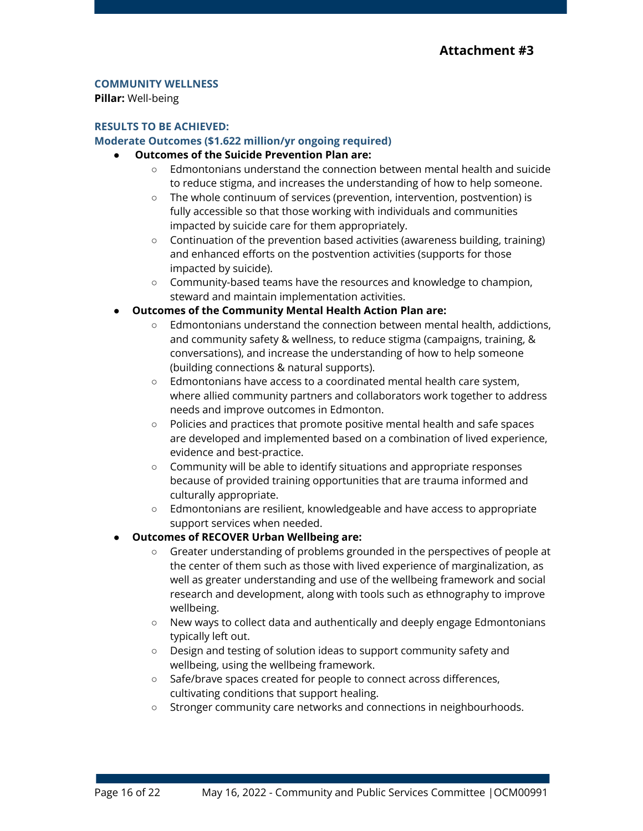## **COMMUNITY WELLNESS**

**Pillar:** Well-being

#### **RESULTS TO BE ACHIEVED:**

#### **Moderate Outcomes (\$1.622 million/yr ongoing required)**

## **● Outcomes of the Suicide Prevention Plan are:**

- $\circ$  Edmontonians understand the connection between mental health and suicide to reduce stigma, and increases the understanding of how to help someone.
- The whole continuum of services (prevention, intervention, postvention) is fully accessible so that those working with individuals and communities impacted by suicide care for them appropriately.
- $\circ$  Continuation of the prevention based activities (awareness building, training) and enhanced efforts on the postvention activities (supports for those impacted by suicide).
- Community-based teams have the resources and knowledge to champion, steward and maintain implementation activities.
- **● Outcomes of the Community Mental Health Action Plan are:**
	- Edmontonians understand the connection between mental health, addictions, and community safety & wellness, to reduce stigma (campaigns, training, & conversations), and increase the understanding of how to help someone (building connections & natural supports).
	- $\circ$  Edmontonians have access to a coordinated mental health care system, where allied community partners and collaborators work together to address needs and improve outcomes in Edmonton.
	- Policies and practices that promote positive mental health and safe spaces are developed and implemented based on a combination of lived experience, evidence and best-practice.
	- Community will be able to identify situations and appropriate responses because of provided training opportunities that are trauma informed and culturally appropriate.
	- Edmontonians are resilient, knowledgeable and have access to appropriate support services when needed.

## ● **Outcomes of RECOVER Urban Wellbeing are:**

- Greater understanding of problems grounded in the perspectives of people at the center of them such as those with lived experience of marginalization, as well as greater understanding and use of the wellbeing framework and social research and development, along with tools such as ethnography to improve wellbeing.
- New ways to collect data and authentically and deeply engage Edmontonians typically left out.
- Design and testing of solution ideas to support community safety and wellbeing, using the wellbeing framework.
- Safe/brave spaces created for people to connect across differences, cultivating conditions that support healing.
- Stronger community care networks and connections in neighbourhoods.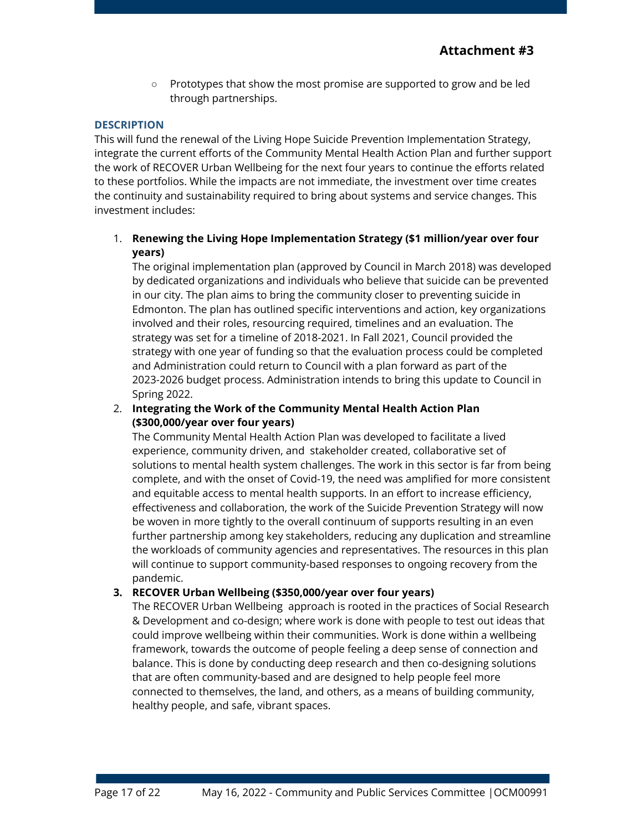○ Prototypes that show the most promise are supported to grow and be led through partnerships.

#### **DESCRIPTION**

This will fund the renewal of the Living Hope Suicide Prevention Implementation Strategy, integrate the current efforts of the Community Mental Health Action Plan and further support the work of RECOVER Urban Wellbeing for the next four years to continue the efforts related to these portfolios. While the impacts are not immediate, the investment over time creates the continuity and sustainability required to bring about systems and service changes. This investment includes:

## 1. **Renewing the Living Hope Implementation Strategy (\$1 million/year over four years)**

The original implementation plan (approved by Council in March 2018) was developed by dedicated organizations and individuals who believe that suicide can be prevented in our city. The plan aims to bring the community closer to preventing suicide in Edmonton. The plan has outlined specific interventions and action, key organizations involved and their roles, resourcing required, timelines and an evaluation. The strategy was set for a timeline of 2018-2021. In Fall 2021, Council provided the strategy with one year of funding so that the evaluation process could be completed and Administration could return to Council with a plan forward as part of the 2023-2026 budget process. Administration intends to bring this update to Council in Spring 2022.

## 2. **Integrating the Work of the Community Mental Health Action Plan (\$300,000/year over four years)**

The Community Mental Health Action Plan was developed to facilitate a lived experience, community driven, and stakeholder created, collaborative set of solutions to mental health system challenges. The work in this sector is far from being complete, and with the onset of Covid-19, the need was amplified for more consistent and equitable access to mental health supports. In an effort to increase efficiency, effectiveness and collaboration, the work of the Suicide Prevention Strategy will now be woven in more tightly to the overall continuum of supports resulting in an even further partnership among key stakeholders, reducing any duplication and streamline the workloads of community agencies and representatives. The resources in this plan will continue to support community-based responses to ongoing recovery from the pandemic.

## **3. RECOVER Urban Wellbeing (\$350,000/year over four years)**

The RECOVER Urban Wellbeing approach is rooted in the practices of Social Research & Development and co-design; where work is done with people to test out ideas that could improve wellbeing within their communities. Work is done within a [wellbeing](https://www.urbanwellnessedmonton.com/soulful-city) [framework,](https://www.urbanwellnessedmonton.com/soulful-city) towards the outcome of people feeling a deep sense of connection and balance. This is done by conducting deep research and then co-designing solutions that are often community-based and are designed to help people feel more connected to themselves, the land, and others, as a means of building community, healthy people, and safe, vibrant spaces.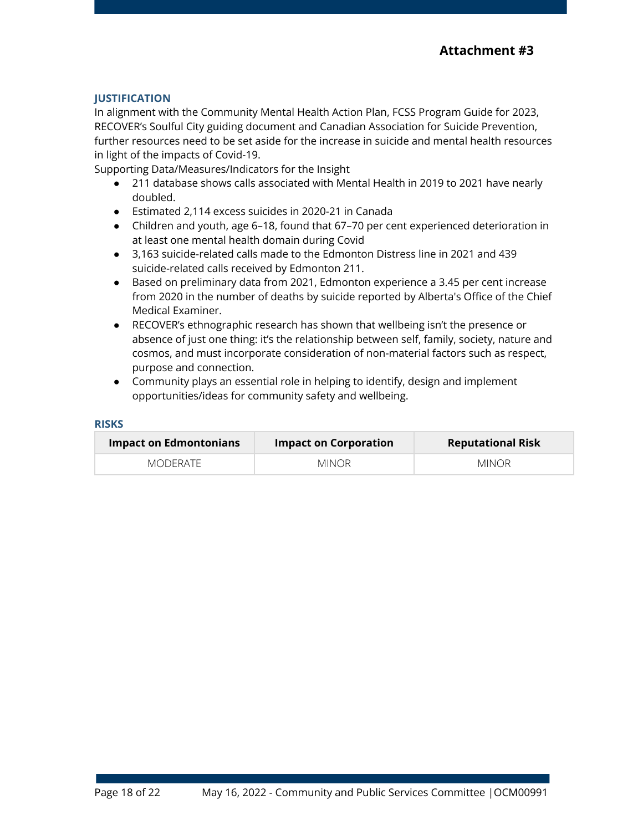## **JUSTIFICATION**

In alignment with the Community Mental Health Action Plan, FCSS Program Guide for 2023, RECOVER's Soulful City guiding document and Canadian Association for Suicide Prevention, further resources need to be set aside for the increase in suicide and mental health resources in light of the impacts of Covid-19.

Supporting Data/Measures/Indicators for the Insight

- 211 database shows calls associated with Mental Health in 2019 to 2021 have nearly doubled.
- Estimated 2,114 excess suicides in 2020-21 in Canada
- Children and youth, age 6–18, found that 67–70 per cent experienced deterioration in at least one mental health domain during Covid
- 3,163 suicide-related calls made to the Edmonton Distress line in 2021 and 439 suicide-related calls received by Edmonton 211.
- Based on preliminary data from 2021, Edmonton experience a 3.45 per cent increase from 2020 in the number of deaths by suicide reported by Alberta's Office of the Chief Medical Examiner.
- RECOVER's ethnographic research has shown that wellbeing isn't the presence or absence of just one thing: it's the relationship between self, family, society, nature and cosmos, and must incorporate consideration of non-material factors such as respect, purpose and connection.
- Community plays an essential role in helping to identify, design and implement opportunities/ideas for community safety and wellbeing.

| <b>Impact on Edmontonians</b> | <b>Impact on Corporation</b> | <b>Reputational Risk</b> |
|-------------------------------|------------------------------|--------------------------|
| MODERATE                      | MINOR.                       | <b>MINOR</b>             |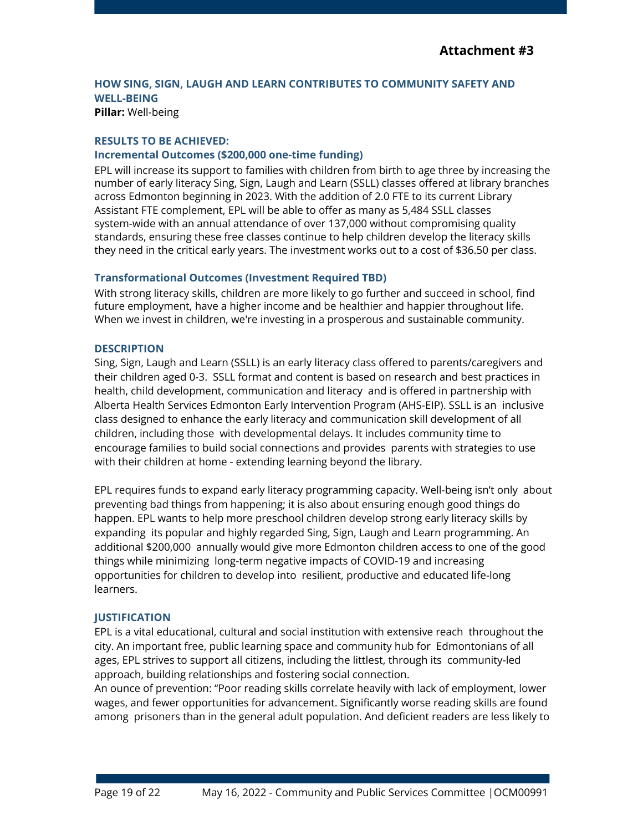# **HOW SING, SIGN, LAUGH AND LEARN CONTRIBUTES TO COMMUNITY SAFETY AND WELL-BEING**

**Pillar:** Well-being

#### **RESULTS TO BE ACHIEVED:**

#### **Incremental Outcomes (\$200,000 one-time funding)**

EPL will increase its support to families with children from birth to age three by increasing the number of early literacy Sing, Sign, Laugh and Learn (SSLL) classes offered at library branches across Edmonton beginning in 2023. With the addition of 2.0 FTE to its current Library Assistant FTE complement, EPL will be able to offer as many as 5,484 SSLL classes system-wide with an annual attendance of over 137,000 without compromising quality standards, ensuring these free classes continue to help children develop the literacy skills they need in the critical early years. The investment works out to a cost of \$36.50 per class.

## **Transformational Outcomes (Investment Required TBD)**

With strong literacy skills, children are more likely to go further and succeed in school, find future employment, have a higher income and be healthier and happier throughout life. When we invest in children, we're investing in a prosperous and sustainable community.

#### **DESCRIPTION**

Sing, Sign, Laugh and Learn (SSLL) is an early literacy class offered to parents/caregivers and their children aged 0-3. SSLL format and content is based on research and best practices in health, child development, communication and literacy and is offered in partnership with Alberta Health Services Edmonton Early Intervention Program (AHS-EIP). SSLL is an inclusive class designed to enhance the early literacy and communication skill development of all children, including those with developmental delays. It includes community time to encourage families to build social connections and provides parents with strategies to use with their children at home - extending learning beyond the library.

EPL requires funds to expand early literacy programming capacity. Well-being isn't only about preventing bad things from happening; it is also about ensuring enough good things do happen. EPL wants to help more preschool children develop strong early literacy skills by expanding its popular and highly regarded Sing, Sign, Laugh and Learn programming. An additional \$200,000 annually would give more Edmonton children access to one of the good things while minimizing long-term negative impacts of COVID-19 and increasing opportunities for children to develop into resilient, productive and educated life-long learners.

#### **JUSTIFICATION**

EPL is a vital educational, cultural and social institution with extensive reach throughout the city. An important free, public learning space and community hub for Edmontonians of all ages, EPL strives to support all citizens, including the littlest, through its community-led approach, building relationships and fostering social connection.

An ounce of prevention: "Poor reading skills correlate heavily with lack of employment, lower wages, and fewer opportunities for advancement. Significantly worse reading skills are found among prisoners than in the general adult population. And deficient readers are less likely to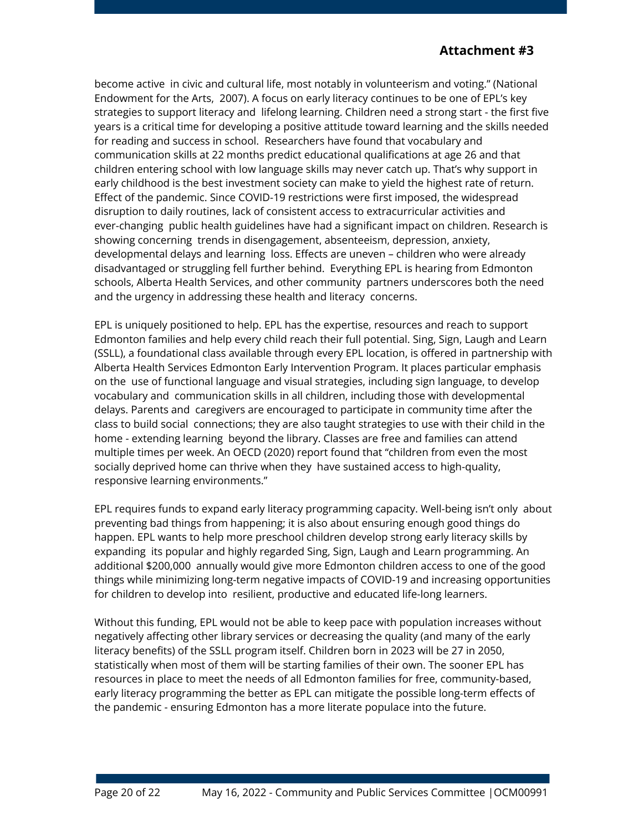become active in civic and cultural life, most notably in volunteerism and voting." (National Endowment for the Arts, 2007). A focus on early literacy continues to be one of EPL's key strategies to support literacy and lifelong learning. Children need a strong start - the first five years is a critical time for developing a positive attitude toward learning and the skills needed for reading and success in school. Researchers have found that vocabulary and communication skills at 22 months predict educational qualifications at age 26 and that children entering school with low language skills may never catch up. That's why support in early childhood is the best investment society can make to yield the highest rate of return. Effect of the pandemic. Since COVID-19 restrictions were first imposed, the widespread disruption to daily routines, lack of consistent access to extracurricular activities and ever-changing public health guidelines have had a significant impact on children. Research is showing concerning trends in disengagement, absenteeism, depression, anxiety, developmental delays and learning loss. Effects are uneven – children who were already disadvantaged or struggling fell further behind. Everything EPL is hearing from Edmonton schools, Alberta Health Services, and other community partners underscores both the need and the urgency in addressing these health and literacy concerns.

EPL is uniquely positioned to help. EPL has the expertise, resources and reach to support Edmonton families and help every child reach their full potential. Sing, Sign, Laugh and Learn (SSLL), a foundational class available through every EPL location, is offered in partnership with Alberta Health Services Edmonton Early Intervention Program. It places particular emphasis on the use of functional language and visual strategies, including sign language, to develop vocabulary and communication skills in all children, including those with developmental delays. Parents and caregivers are encouraged to participate in community time after the class to build social connections; they are also taught strategies to use with their child in the home - extending learning beyond the library. Classes are free and families can attend multiple times per week. An OECD (2020) report found that "children from even the most socially deprived home can thrive when they have sustained access to high-quality, responsive learning environments."

EPL requires funds to expand early literacy programming capacity. Well-being isn't only about preventing bad things from happening; it is also about ensuring enough good things do happen. EPL wants to help more preschool children develop strong early literacy skills by expanding its popular and highly regarded Sing, Sign, Laugh and Learn programming. An additional \$200,000 annually would give more Edmonton children access to one of the good things while minimizing long-term negative impacts of COVID-19 and increasing opportunities for children to develop into resilient, productive and educated life-long learners.

Without this funding, EPL would not be able to keep pace with population increases without negatively affecting other library services or decreasing the quality (and many of the early literacy benefits) of the SSLL program itself. Children born in 2023 will be 27 in 2050, statistically when most of them will be starting families of their own. The sooner EPL has resources in place to meet the needs of all Edmonton families for free, community-based, early literacy programming the better as EPL can mitigate the possible long-term effects of the pandemic - ensuring Edmonton has a more literate populace into the future.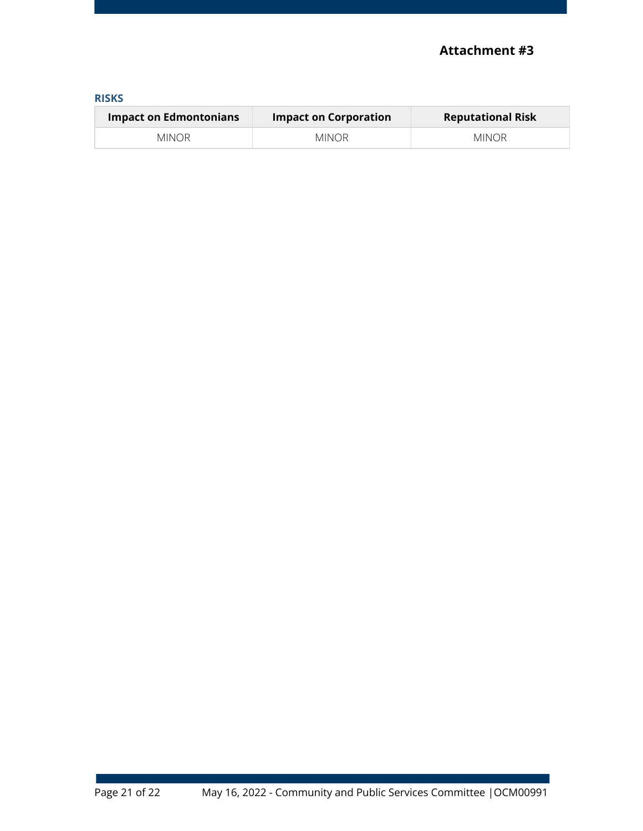| ___ |  |
|-----|--|

| Impact on Edmontonians | <b>Impact on Corporation</b> | <b>Reputational Risk</b> |
|------------------------|------------------------------|--------------------------|
| MINOR.                 | MINOR.                       | MINOR                    |